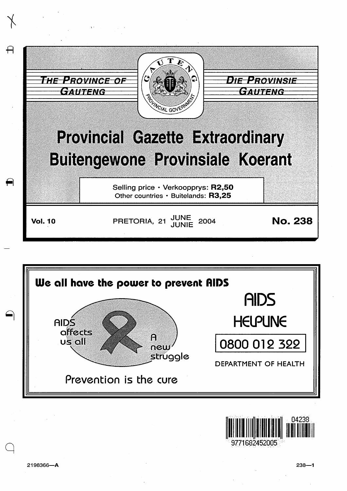



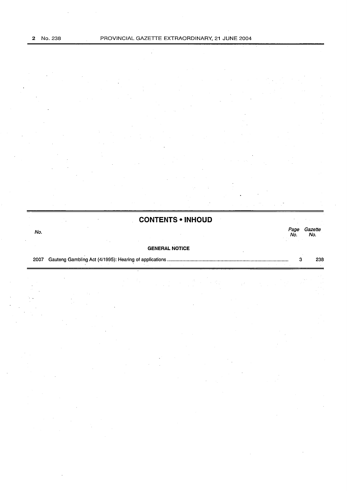**CONTENTS • INHOUD**  No. Page Gazette

#### **GENERAL NOTICE**

2007 Gauteng Gambling Act (4/1995): Hearing of applications ............................................................................................ . 3 238

Page Gazette<br>No. No.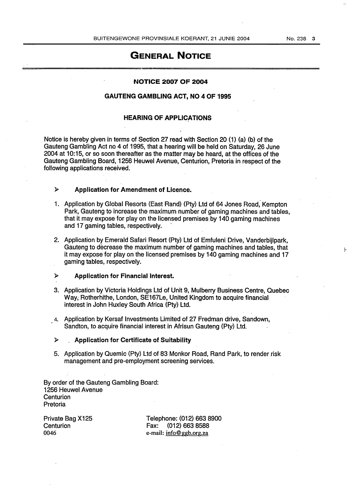### GENERAL NOTICE

#### NOTICE 2007 OF 2004

#### GAUTENG GAMBLING ACT, NO 4 OF 1995

#### HEARING OF APPLICATIONS

Notice is hereby given in terms of Section 27 read with Section 20 (1) (a) (b) of the Gauteng Gambling Act no 4 of 1995, that a hearing will be held on Saturday, 26 June 2004 at 10:15, or so soon thereafter as the matter may be heard, at the offices of the Gauteng Gambling Board, 1256 Heuwel Avenue, Centurion, Pretoria in respect of the following applications received.

#### <sup>~</sup>Application for Amendment of Licence.

- 1. Application by Global Resorts (East Rand) (Pty) Ltd of 64 Jones Road, Kempton Park, Gauteng to increase the maximum number of gaming machines and tables, that it may expose for play on the licensed premises.by 140 gaming machines and 17 gaming tables, respectively.
- 2. Application by Emerald Safari Resort (Pty) Ltd of Emfuleni Drive, Vanderbijlpark, Gauteng to decrease the maximum number of gaming machines and tables, that it may expose for play on the licensed premises by 140 gaming machines and 17 gaming tables, respectively.
- $\triangleright$  Application for Financial Interest.
- 3. Application by Victoria Holdings Ltd of Unit 9, Mulberry Business Centre, Quebec Way, Rotherhithe, London, SE167Le, United Kingdom to acquire financial interest in John Huxley South Africa (Pty) Ltd.
- 4. Application by Kersaf Investments Limited of 27 Fredman drive, Sandown, Sandton, to acquire financial interest in Afrisun Gauteng (Pty) Ltd.
- $>$  Application for Certificate of Suitability
- 5. Application by Quemic (Pty) Ltd of 83 Monkor Road, Rand Park, to render risk management and pre-employment screening services.

By order of the Gauteng Gambling Board: 1256 Heuwel Avenue **Centurion** Pretoria

Private Bag X125 **Centurion** 0046

Telephone: (012) 663 8900 Fax: (012) 663 8588 e-mail: info@ggb.org.za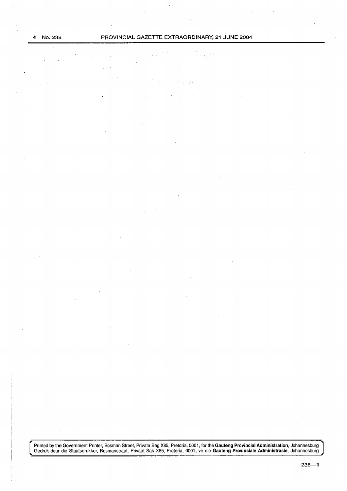Printed by the Government Printer, Bosman Street, Private Bag X85, Pretoria, 0001, for the **Gauteng Provincial Administration**, Johannesburg Gedruk deur die Staatsdrukker, Bosmanstraat, Privaat Sak X85, Pretoria, 0001, vir die Gauteng Provinsiale Administrasie, Johannesburg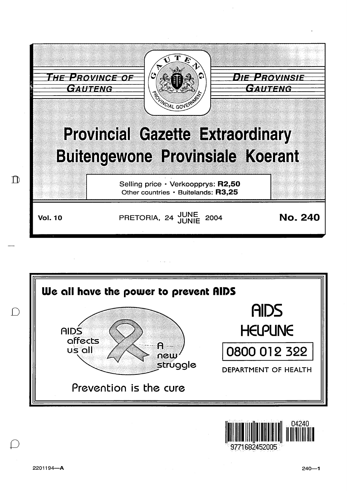



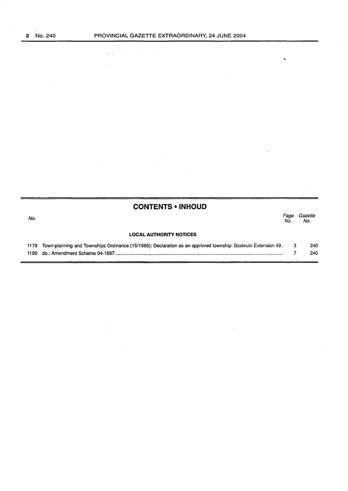$\tilde{\phantom{a}}$ 

t,

 $\bar{z}$ 

where  $\hat{p} = \hat{p} \hat{p}$  ,  $\hat{p} = \hat{p} \hat{p}$ 

 $\label{eq:2.1} \frac{1}{\sqrt{2\pi}}\sum_{i=1}^n\frac{1}{\sqrt{2\pi}}\sum_{i=1}^n\frac{1}{\sqrt{2\pi}}\sum_{i=1}^n\frac{1}{\sqrt{2\pi}}\sum_{i=1}^n\frac{1}{\sqrt{2\pi}}\sum_{i=1}^n\frac{1}{\sqrt{2\pi}}\sum_{i=1}^n\frac{1}{\sqrt{2\pi}}\sum_{i=1}^n\frac{1}{\sqrt{2\pi}}\sum_{i=1}^n\frac{1}{\sqrt{2\pi}}\sum_{i=1}^n\frac{1}{\sqrt{2\pi}}\sum_{i=1}^n\$ 

 $\Delta \sim 1$ 

 $\frac{1}{\alpha}$ 

 $\hat{\mathcal{A}}$ 

÷.

| Page<br>No. | Gazette<br>No.                                                                                                     |
|-------------|--------------------------------------------------------------------------------------------------------------------|
|             |                                                                                                                    |
|             | 240                                                                                                                |
|             | 240                                                                                                                |
|             | Town-planning and Townships Ordinance (15/1986): Declaration as an approved township: Boskruin Extension 49.<br>-3 |

 $\sim$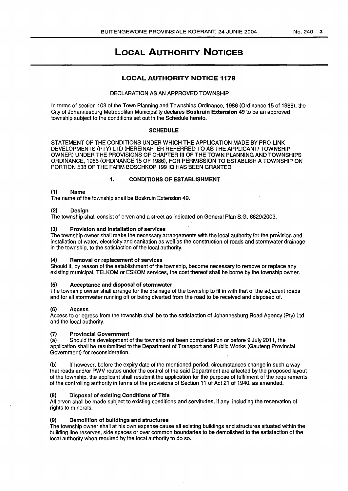## LOCAL AUTHORITY NOTICES

#### LOCAL AUTHORITY NOTICE 1179

#### DECLARATION AS AN APPROVED TOWNSHIP

In terms of section 103 of the Town Planning and Townships Ordinance, 1986 (Ordinance 15 of 1986), the City of Johannesburg Metropolitan Municipality declares Boskruin Extension 49 to be an approved township subject to the conditions set out in the Schedule hereto.

#### **SCHEDULE**

STATEMENT OF THE CONDITIONS UNDER WHICH THE APPLICATION MADE BY PRO-LINK DEVELOPMENTS (PTY) LTD (HEREINAFTER REFERRED TO AS THE APPLICANT/ TOWNSHIP OWNER) UNDER THE PROVISIONS OF CHAPTER Ill OF THE TOWN PLANNING AND TOWNSHIPS ORDINANCE, 1986 (ORDINANCE 15 OF 1986), FOR PERMISSION TO ESTABLISH A TOWNSHIP ON PORTION 538 OF THE FARM BOSCHKOP 199 JQ HAS BEEN GRANTED

#### 1. CONDITIONS OF ESTABLISHMENT

#### {1) Name

The name of the township shall be Boskruin Extension 49.

#### {2) Design

The township shall consist of erven and a street as indicated on General Plan S.G. 6629/2003.

#### Provision and installation of services

The township owner shall make the necessary arrangements with the local authority for the provision and installation of water, electricity and sanitation as well as the construction of roads and stormwater drainage in the township, to the satisfaction of the local authority.

#### {4) Removal or replacement of services

Should it, by reason of the establishment of the township, become necessary to remove or replace any existing municipal, TELKOM or ESKOM services, the cost thereof shall be borne by the township owner.

#### {5) Acceptance and disposal of stormwater

The township owner shall arrange for the drainage of the township to fit in with that of the adjacent roads and for all stormwater running off or being diverted from the road to be received and disposed of.

#### {6) Access

Access to or egress from the township shall be to the satisfaction of Johannesburg Road Agency (Pty) Ltd and the local authority.

#### {7) Provincial Government

(a) Should the development of the township not been completed on or before 9 July 2011, the application shall be resubmitted to the Department of Transport and Public Works (Gauteng Provincial Government) for reconsideration.

"(b) If however, before the expiry date of the mentioned period, circumstances change in such a way that roads and/or PWV routes under the control of the said Department are affected by the proposed layout of the township, the applicant shall resubmit the application for the purpose of fulfilment of the requirements of the controlling authority in terms of the provisions of Section 11 of Act 21 of 1940, as amended.

#### {8) Disposal of existing Conditions of Title

All erven shall be made subject to existing conditions and servitudes, if any, including the reservation of rights to minerals.

#### (9) Demolition of buildings and structures

The township owner shall at his own expense cause all existing buildings and structures situated within the building line reserves, side spaces or over common boundaries to be demolished to the satisfaction of the local authority when required by the local authority to do so.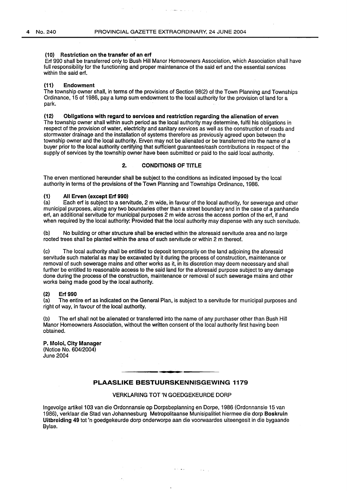أأنوا الوارث وتفقد وتعقدها

#### (10) Restriction on the transfer of an erf

Erf 990 shall be transferred only to Bush Hill Manor Homeowners Association, which Association shall have full responsibility for the functioning and proper maintenance of the said erf and the essential services within the said erf.

#### (11) Endowment

The township owner shall, in terms of the provisions of Section 98(2) of the Town Planning and Townships Ordinance, 15 of 1986, pay a lump sum endowment to the local authority for the provision of land for a park.

#### (12) Obligations with regard to services and restriction regarding the alienation of erven

The township owner shall within such period as the local authority may determine, fulfil his obligations in respect of the provision of water, electricity and sanitary services as well as the construction of roads and stormwater drainage and the installation of systems therefore as previously agreed upon between the township owner and the local authority. Erven may not be alienated or be transferred into the name of a buyer prior to the local authority certifying that sufficient guarantees/cash contributions in respect of the supply of services by the township owner have been submitted or paid to the said local authority.

#### 2. CONDITIONS OF TITLE

The erven mentioned hereunder shall be subject to the conditions as indicated imposed by the local authority in terms of the provisions of the Town Planning and Townships Ordinance, 1986.

# (1) All Erven (except Erf 990)<br>(a) Each erf is subject to a ser-

Each erf is subject to a servitude, 2 m wide, in favour of the local authority, for sewerage and other municipal purposes, along any two boundaries other than a street boundary and in the case of a panhandle ert, an additional servitude for municipal purposes 2 m wide across the access portion of the erf, if and when required by the local authority: Provided that the local authority may dispense with any such servitude.

(b) No building or other structure shall be erected within the aforesaid servitude area and no large rooted trees shall be planted within the area of such servitude or within 2 m thereof.

(c) The local authority shall be entitled to deposit temporarily on the land adjoining the aforesaid servitude such material as may be excavated by it during the process of construction, maintenance or removal of such sewerage mains and other works as it, in its discretion may deem necessary and shall further be entitled to reasonable access to the said land for the aforesaid purpose subject to any damage done during the process of the construction, maintenance or removal of such sewerage mains and other works being made good by the local authority.

#### (2) Erf 990

(a) The entire erf as indicated on the General Plan, is subject to a servitude for municipal purposes and right of way, in favour of the local authority.

(b) The erf shall not be alienated or transferred into the name of any purchaser other than Bush Hill Manor Homeowners Association, without the written consent of the local authority first having been obtained.

#### P. Moloi, City Manager (Notice No. 604/2004) June 2004

#### PLAASLIKE BESTUURSKENNISGEWING 1179

#### VERKLARING TOT 'N GOEDGEKEURDE DORP

 $\mathcal{L}^{\text{max}}$  and  $\mathcal{L}^{\text{max}}$ 

lngevolge artikel1 03 van die Ordonnansie op Dorpsbeplanning en Dorpe, 1986 (Ordonnansie 15 van 1986), verklaar die Stad van Johannesburg Metropolitaanse Munisipalitiet hiermee die dorp Boskruin Uitbreiding 49 tot 'n goedgekeurde dorp onderworpe aan die voorwaardes uiteengesit in die bygaande Bylae.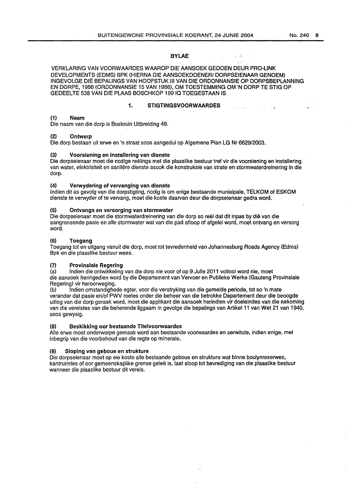#### BYLAE

VERKLARING VAN VOORWAARDES WAAROP DIE AANSOEK GEDOEN DEUR PRO-LINK DEVELOPMENTS (EDMS) BPK (HIERNA DIE AANSOEKDOENER/ DORPSEIENAAR GENOEM) INGEVOLGE DIE BEPALINGS VAN HOOFSTUK Ill VAN DIE ORDONNANSIE OP DORPSBEPLANNING EN DORPE, 1986 (ORDONNANSIE 15 VAN 1986), OM TOESTEMMING OM 'N DORP TE STIG OP GEDEELTE 538 VAN DIE PLAAS BOSCHKOP 199 IQ TOEGESTAAN IS

#### 1. STIGTINGSVOORWAARDES

a na sala sh

#### (1) Naam

Die naam van die dorp is Boskruin Uitbreiding 49.

#### (2) Ontwerp

Die dorp bestaan uit erwe en 'n straat soos aangedui op Algemene Plan LG Nr 6629/2003.

#### (3) Voorsiening en installering van dienste

Die dorpseienaar meet die nodige reelings met die plaaslike bestuur tref vir die voorsiening en installering van water, elektrisiteit en sanitere dienste asook die konstruksie van strate en stormwaterdreinering in die dorp.

#### (4) Verwydering of vervanging van dienste

lndien dit as gevolg van die dorpstigting, nodig is om enige bestaande munisipale, TELKOM of ESKOM dienste te verwyder of te vervang, moet die koste daarvan deur die dorpseienaar gedra word.

#### (5) Ontvangs en versorging van stormwater

Die dorpseienaar moet die stormwaterdreinering van die dorp so reel dat dit in pas by die van die aangrensende paaie en aile stormwater wat van die pad afloop of afgelei word, moet ontvang en versorg word.

#### (6) Toegang

Toegang tot en uitgang vanuit die dorp, moet tot tevredenheid van Johannesburg Roads Agency (Edms) Bpk en die plaaslike bestuur wees.

#### (7) Provinsiale Regering

(a) lndien die ontwikkeling van die dorp nie voor of op 9 Julie 2011 voltooi word nie, moet die aansoek heringedien word by die Departement van Vervoer en Publieke Werke (Gauteng Provinsiale Regering) vir heroorweging.

(b) lndien omstandighede egter, voor die verstryking van die gemelde periode, tot so 'n mate verander dat paaie en/of PWV roetes onder die beheer van die betrokke Departement deur die beoogde uitleg van die dorp geraak word, moet die applikant die aansoek herindien vir doeleindes van die nakoming van die vereistes van die beherende liggaam in gevolge die bepalings van Artikel 11 van Wet 21 van 1940, soos gewysig.

#### (8) Beskikking oor bestaande Titelvoorwaardes

Aile erwe moet onderworpe gemaak word aan bestaande voorwaardes en serwitute, indien enige, met inbegrip van die voorbehoud van die regte op minerale.

#### (9) Sloping van geboue en strukture

Die dorpseienaar moet op eie koste aile bestaande geboue en strukture wat binne boulynreserwes, kantruimtes of oor gemeenskaplike grense gelee is, laat sloop tot bevrediging van die plaaslike bestuur wanneer die plaaslike bestuur dit vereis.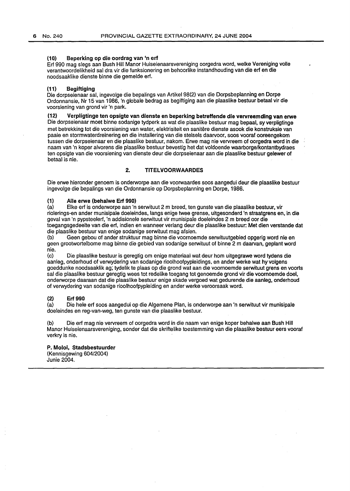#### (10) Beperking op die oordrag van 'n erf

Erf 990 mag slegs aan Bush Hill Manor Huiseienaarsvereniging oorgedra word, welke Vereniging volle verantwoordelikheid sal dra vir die funksionering en behoorlike instandhouding van die erf en die noodsaaklike dienste binne die gemelde erf.

#### (11) Begiftiging .

Die dorpseienaar sal, ingevolge die bepalings van Artikel 98(2) van die Dorpsbeplanning en Dorpe Ordonnansie, Nr 15 van 1986, 'n globale bedrag as begiftiging aan die plaaslike bestuur betaal vir die voorsiening van grond vir 'n park.

(12) Verpligtinge ten opsigte van dienste en beperking betreffende die vervreemding van erwe Die dorpseienaar moet binne sodanige tydperk as wat die plaaslike bestuur mag bepaal, sy verpligtinge met betrekking tot die voorsiening van water, elektrisiteit en sanitere dienste asook die konstruksie van paaie en stormwaterdreinering en die installering van die stelsels daarvoor, soos vooraf ooreengekom tussen die dorpseienaar en die plaaslike bestuur, nakom. Erwe mag nie vervreem of oorgedra word in die naam van 'n koper alvorens die plaaslike bestuur bevestig het dat voldoende waarborge/kontantbydraes ten opsigte van die voorsiening van dienste deur die dorpseienaar aan die plaaslike bestuur gelewer of betaal is nie.

#### 2. TITELVOORWAARDES

Die erwe hieronder genoem is onderworpe aan die voorwaardes soos aangedui deur die plaaslike bestuur ingevolge die bepalings van die Ordonnansie op Dorpsbeplanning en Dorpe, 1986.

# (1) Alle erwe (behalwe Erf 990)<br>(a) Elke erf is onderworpe aan 'n

Elke erf is onderworpe aan 'n serwituut 2 m breed, ten gunste van die plaaslike bestuur, vir riolerings-en ander munisipale doeleindes, langs enige twee grense, uitgesonderd 'n straatgrens en, in die geval van 'n pypsteelerf, 'n addisionele serwituut vir munisipale doeleindes 2 m breed oar die toegangsgedeelte van die erf, indien en wanneer verlang deur die plaaslike bestuur: Met dien verstande dat die plaaslike bestuur van enige sodanige serwituut mag afsien.

(b) Geen gebou of ander struktuur mag binne die voornoemde serwituutgebied opgerig word nie en geen grootwortelbome mag binne die gebied van sodanige serwituut of binne 2 m daarvan, geplant word nie.<br>(c)

Die plaaslike bestuur is geregtig om enige materiaal wat deur hom uitgegrawe word tydens die aanleg, onderhoud of verwydering van sodanige rioolhoofpypleidings, en ander werke wat hy volgens goeddunke noodsaaklik ag; tydelik te plaas op die grand wat aan die voornoemde serwituut grens en voorts sal die plaaslike bestuur geregtig wees tot redelike toegang tot genoemde grand vir die voornoemde doe!, onderworpe daaraan dat die plaaslike bestuur enige skade vergoed wat gedurende die aanleg, onderhoud of verwydering van sodanige rioolhoofpypleiding en ander werke veroorsaak word.

#### (2) Erf 990

(a) Die hele erf soos aangedui op die Algemene Plan, is onderworpe aan 'n serwituut vir munisipale doeleindes en reg-van-weg, ten gunste van die plaaslike bestuur.

(b) Die erf mag nie vervreem of oorgedra word in die naam van enige koper behalwe aan Bush Hill Manor Huiseienaarsvereniging, sonder dat die skriftelike toestemming van die plaaslike bestuur eers vooraf verkry is nie.

### P. Moloi, Stadsbestuurder

(Kennisgewing 604/2004) Junie 2004.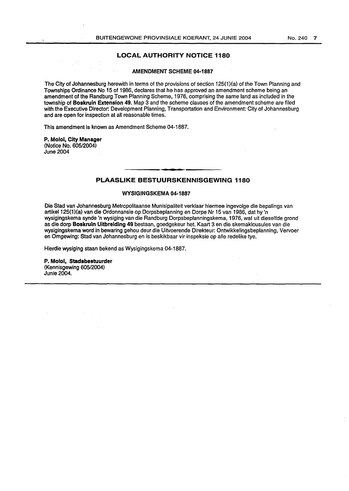#### LOCAL AUTHORITY NOTICE 1180

#### AMENDMENT SCHEME 04-1887

The City of Johannesburg herewith in terms of the provisions of section 125(1)(a) of the Town Planning and Townships Ordinance No 15 of 1986, declares that he has approved an amendment scheme being an amendment of the Randburg Town Planning Scheme, 1976, comprising the same land as included in the township of Boskruin Extension 49. Map 3 and the scheme clauses of the amendment scheme are filed with the Executive Director: Development Planning, Transportation and Environment: City of Johannesburg and are open for inspection at all reasonable times.

This amendment is known as Amendment Scheme 04-1887.

P. Moloi, City Manager (Notice No. 605/2004) June 2004

#### PLAASLIKE BESTUURSKENNISGEWING 1180

#### WYSIGINGSKEMA 04-1887

Die Stad van Johannesburg Metropolitaanse Munisipaliteit verklaar hiermee ingevolge die bepalings van artike1125(1)(a} van die Ordonnansie op Dorpsbeplanning en Dorpe Nr 15 van 1986, dat hy 'n wysigingskema synde 'n wysiging van die Randburg Dorpsbeplanningskema, 1976, wat uit dieselfde grond as die dorp Boskruin Uitbreiding 49 bestaan, goedgekeur het. Kaart 3 en die skemaklousules van die wysigingskema word in bewaring gehou deur die Uitvoerende Direkteur: Ontwikkelingsbeplanning, Vervoer en Omgewing: Stad van Johannesburg en is beskikbaar vir inspeksie op aile redelike tye.

Hierdie wysiging staan bekend as Wysigingskema 04-1887.

P. Molol, Stadsbestuurder (Kennisgewing 605/2004} Junie2004.